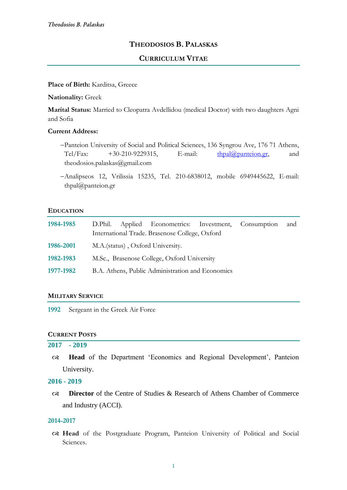# **THEODOSIOS B. PALASKAS**

# **CURRICULUM VITAE**

#### **Place of Birth:** Karditsa, Greece

#### **Nationality:** Greek

**Marital Status:** Married to Cleopatra Avdellidou (medical Doctor) with two daughters Agni and Sofia

# **Current Address:**

- −Panteion University of Social and Political Sciences, 136 Syngrou Ave, 176 71 Athens, Tel/Fax:  $+30-210-9229315$ , E-mail:  $\frac{\text{thpal}(\partial \Omega)$  panteion.gr, and theodosios.palaskas@gmail.com
- −Analipseos 12, Vrilissia 15235, Tel. 210-6838012, mobile 6949445622, E-mail: thpal@panteion.gr

#### **EDUCATION**

| 1984-1985 | D.Phil. Applied Econometrics: Investment, Consumption<br>International Trade. Brasenose College, Oxford |  |  |  | and |
|-----------|---------------------------------------------------------------------------------------------------------|--|--|--|-----|
| 1986-2001 | M.A.(status), Oxford University.                                                                        |  |  |  |     |
| 1982-1983 | M.Sc., Brasenose College, Oxford University                                                             |  |  |  |     |
| 1977-1982 | B.A. Athens, Public Administration and Economics                                                        |  |  |  |     |

## **MILITARY SERVICE**

**1992** Sergeant in the Greek Air Force

# **CURRENT POSTS**

## **2017 - 2019**

 **Head** of the Department 'Economics and Regional Development', Panteion University.

## **2016 - 2019**

 **Director** of the Centre of Studies & Research of Athens Chamber of Commerce and Industry (ACCI).

### **2014-2017**

 **Head** of the Postgraduate Program, Panteion University of Political and Social Sciences.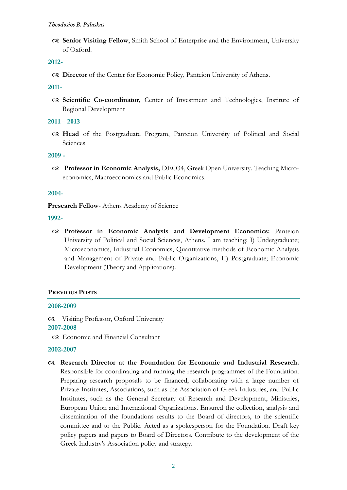**Senior Visiting Fellow**, Smith School of Enterprise and the Environment, University of Oxford.

## **2012-**

**Director** of the Center for Economic Policy, Panteion University of Athens.

## **2011-**

 **Scientific Co-coordinator,** Center of Investment and Technologies, Institute of Regional Development

## **2011 – 2013**

 **Head** of the Postgraduate Program, Panteion University of Political and Social Sciences

## **2009 -**

 **Professor in Economic Analysis,** DEO34, Greek Open University. Teaching Microeconomics, Macroeconomics and Public Economics.

## **2004-**

**Presearch Fellow-Athens Academy of Science** 

## **1992-**

 **Professor in Economic Analysis and Development Economics:** Panteion University of Political and Social Sciences, Athens. I am teaching: I) Undergraduate; Microeconomics, Industrial Economics, Quantitative methods of Economic Analysis and Management of Private and Public Organizations, II) Postgraduate; Economic Development (Theory and Applications).

# **PREVIOUS POSTS**

## **2008-2009**

 Visiting Professor, Oxford University **2007-2008**

Economic and Financial Consultant

## **2002-2007**

 **Research Director at the Foundation for Economic and Industrial Research.**  Responsible for coordinating and running the research programmes of the Foundation. Preparing research proposals to be financed, collaborating with a large number of Private Institutes, Associations, such as the Association of Greek Industries, and Public Institutes, such as the General Secretary of Research and Development, Ministries, European Union and International Organizations. Ensured the collection, analysis and dissemination of the foundations results to the Board of directors, to the scientific committee and to the Public. Acted as a spokesperson for the Foundation. Draft key policy papers and papers to Board of Directors. Contribute to the development of the Greek Industry's Association policy and strategy.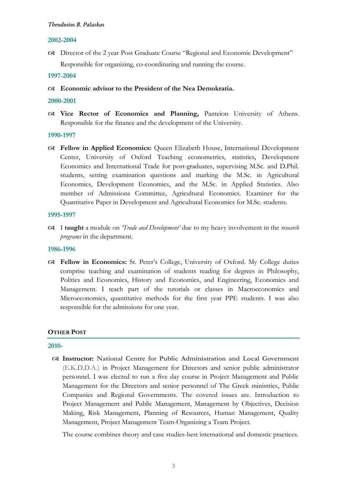#### **2002-2004**

 Director of the 2 year Post Graduate Course "Regional and Economic Development" Responsible for organizing, co-coordinating and running the course.

**1997-2004**

**Economic advisor to the President of the Nea Demokratia.**

#### **2000-2001**

 **Vice Rector of Economics and Planning,** Panteion University of Athens*.*  Responsible for the finance and the development of the University.

#### **1990-1997**

 **Fellow in Applied Economics:** Queen Elizabeth House, International Development Center, University of Oxford Teaching econometrics, statistics, Development Economics and International Trade for post-graduates, supervising M.Sc. and D.Phil. students, setting examination questions and marking the M.Sc. in Agricultural Economics, Development Economics, and the M.Sc. in Applied Statistics. Also member of Admissions Committee, Agricultural Economics. Examiner for the Quantitative Paper in Development and Agricultural Economics for M.Sc. students.

## **1995-1997**

 I **taught** a module on *'Trade and Development'* due to my heavy involvement in the *research programs* in the department.

## **1986-1996**

 **Fellow in Economics:** St. Peter's College, University of Oxford. My College duties comprise teaching and examination of students reading for degrees in Philosophy, Politics and Economics, History and Economics, and Engineering, Economics and Management. I teach part of the tutorials or classes in Macroeconomics and Microeconomics, quantitative methods for the first year PPE students. I was also responsible for the admissions for one year.

## **OTHER POST**

#### **2010-**

 **Instructor: National Centre for Public Administration and Local Government**  (E.K.D.D.A.) in Project Management for Directors and senior public administrator personnel. I was elected to run a five day course in Project Management and Public Management for the Directors and senior personnel of The Greek ministries, Public Companies and Regional Governments. The covered issues are. Introduction to Project Management and Public Management, Management by Objectives, Decision Making, Risk Management, Planning of Resources, Human Management, Quality Management, Project Management Team-Organizing a Team Project.

The course combines theory and case studies-best international and domestic practices.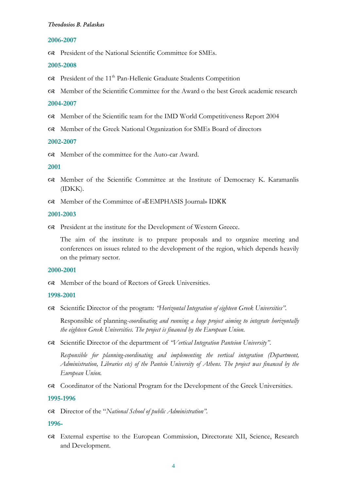#### **2006-2007**

President of the National Scientific Committee for SMEs.

#### **2005-2008**

- President of the 11th Pan-Hellenic Graduate Students Competition
- Member of the Scientific Committee for the Award o the best Greek academic research

#### **2004-2007**

- Member of the Scientific team for the IMD World Competitiveness Report 2004
- Member of the Greek National Organization for SMEs Board of directors

#### **2002-2007**

Member of the committee for the Auto-car Award.

#### **2001**

- Member of the Scientific Committee at the Institute of Democracy K. Karamanlis (IDKK).
- Member of the Committee of «ΕEMPHASIS Journal» ΙDΚΚ

#### **2001-2003**

President at the institute for the Development of Western Greece.

The aim of the institute is to prepare proposals and to organize meeting and conferences on issues related to the development of the region, which depends heavily on the primary sector.

#### **2000-2001**

Member of the board of Rectors of Greek Universities.

#### **1998-2001**

Scientific Director of the program: *"Horizontal Integration of eighteen Greek Universities".*

Responsible of planning-*coordinating and running a huge project aiming to integrate horizontally the eighteen Greek Universities. The project is financed by the European Union.*

Scientific Director of the department of *"Vertical Integration Panteion University".*

*Responsible for planning-coordinating and implementing the vertical integration (Department, Administration, Libraries etc) of the Panteio University of Athens. The project was financed by the European Union.*

Coordinator of the National Program for the Development of the Greek Universities.

### **1995-1996**

Director of the "*National School of public Administration".*

## **1996-**

 External expertise to the European Commission, Directorate XII, Science, Research and Development.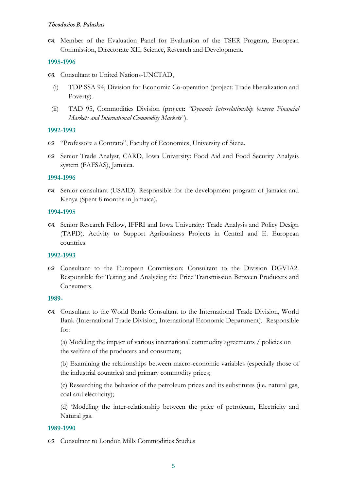Member of the Evaluation Panel for Evaluation of the TSER Program, European Commission, Directorate XII, Science, Research and Development.

## **1995-1996**

- Consultant to United Nations-UNCTAD,
	- (i) TDP SSA 94, Division for Economic Co-operation (project: Trade liberalization and Poverty).
	- (ii) TAD 95, Commodities Division (project: *"Dynamic Interrelationship between Financial Markets and International Commodity Markets"*).

## **1992-1993**

- "Professore a Contrato", Faculty of Economics, University of Siena.
- Senior Trade Analyst, CARD, Iowa University: Food Aid and Food Security Analysis system (FAFSAS), Jamaica.

## **1994-1996**

 Senior consultant (USAID). Responsible for the development program of Jamaica and Kenya (Spent 8 months in Jamaica).

## **1994-1995**

 Senior Research Fellow, IFPRI and Iowa University: Trade Analysis and Policy Design (TAPD). Activity to Support Agribusiness Projects in Central and E. European countries.

# **1992-1993**

 Consultant to the European Commission: Consultant to the Division DGVIA2. Responsible for Testing and Analyzing the Price Transmission Between Producers and Consumers.

## **1989-**

 Consultant to the World Bank: Consultant to the International Trade Division, World Bank (International Trade Division, International Economic Department). Responsible for:

(a) Modeling the impact of various international commodity agreements / policies on the welfare of the producers and consumers;

(b) Examining the relationships between macro-economic variables (especially those of the industrial countries) and primary commodity prices;

(c) Researching the behavior of the petroleum prices and its substitutes (i.e. natural gas, coal and electricity);

(d) 'Modeling the inter-relationship between the price of petroleum, Electricity and Natural gas.

## **1989-1990**

Consultant to London Mills Commodities Studies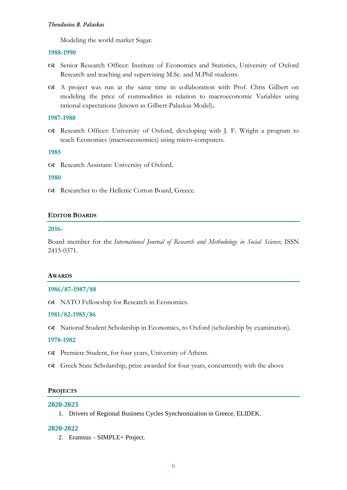Modeling the world market Sugar.

#### **1988-1990**

- Senior Research Officer: Institute of Economics and Statistics, University of Oxford Research and teaching and supervising M.Sc. and M.Phil students.
- A project was run at the same time in collaboration with Prof. Chris Gilbert on modeling the price of commodities in relation to macroeconomic Variables using rational expectations (known as Gilbert-Palaskas Model)**.**

#### **1987-1988**

 Research Officer: University of Oxford, developing with J. F. Wright a program to teach Economics (macroeconomics) using micro-computers.

#### **1985**

Research Assistant: University of Oxford.

## **1980**

Researcher to the Hellenic Cotton Board, Greece.

#### **EDITOR BOARDS**

#### **2016-**

Board member for the *International Journal of Research and Methodology in Social Science*; ISSN 2415-0371.

#### **AWARDS**

### **1986/87-1987/88**

NATO Fellowship for Research in Economics.

## **1981/82-1985/86**

National Student Scholarship in Economics, to Oxford (scholarship by examination).

## **1978-1982**

- Premiere Student, for four years, University of Athens.
- Greek State Scholarship, prize awarded for four years, concurrently with the above

#### **PROJECTS**

#### **2020-2023**

1. Drivers of Regional Business Cycles Synchronization in Greece, ELIDEK.

#### **2020-2022**

2. Eramsus – SIMPLE+ Project.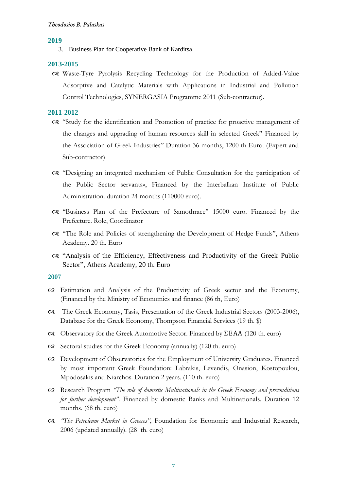#### **2019**

3. Business Plan for Cooperative Bank of Karditsa.

#### **2013-2015**

 Waste-Tyre Pyrolysis Recycling Technology for the Production of Added-Value Adsorptive and Catalytic Materials with Applications in Industrial and Pollution Control Technologies, SYNERGASIA Programme 2011 (Sub-contractor).

### **2011-2012**

- "Study for the identification and Promotion of practice for proactive management of the changes and upgrading of human resources skill in selected Greek" Financed by the Association of Greek Industries" Duration 36 months, 1200 th Euro. (Expert and Sub-contractor)
- "Designing an integrated mechanism of Public Consultation for the participation of the Public Sector servants», Financed by the Interbalkan Institute of Public Administration. duration 24 months (110000 euro).
- "Business Plan of the Prefecture of Samothrace" 15000 euro. Financed by the Prefecture. Role, Coordinator
- "The Role and Policies of strengthening the Development of Hedge Funds", Athens Academy. 20 th. Euro
- "Analysis of the Efficiency, Effectiveness and Productivity of the Greek Public Sector", Athens Academy, 20 th. Euro

- Estimation and Analysis of the Productivity of Greek sector and the Economy, (Financed by the Ministry of Economics and finance (86 th, Euro)
- The Greek Economy, Tasis, Presentation of the Greek Industrial Sectors (2003-2006), Database for the Greek Economy, Thompson Financial Services (19 th. \$)
- Observatory for the Greek Automotive Sector. Financed by ΣΕΑΑ (120 th. euro)
- Sectoral studies for the Greek Economy (annually) (120 th. euro)
- Development of Observatories for the Employment of University Graduates. Financed by most important Greek Foundation: Labrakis, Levendis, Onasion, Kostopoulou, Mpodosakis and Niarchos. Duration 2 years. (110 th. euro)
- Research Program *"The role of domestic Multinationals in the Greek Economy and preconditions for further development"*. Financed by domestic Banks and Multinationals. Duration 12 months. (68 th. euro)
- *"The Petroleum Market in Greeces"*, Foundation for Economic and Industrial Research, 2006 (updated annually). (28 th. euro)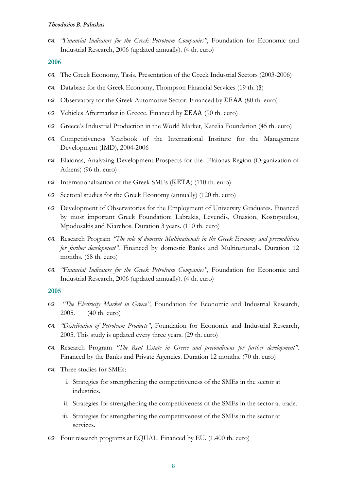*"Financial Indicators for the Greek Petroleum Companies"*, Foundation for Economic and Industrial Research, 2006 (updated annually). (4 th. euro)

#### **2006**

- The Greek Economy, Tasis, Presentation of the Greek Industrial Sectors (2003-2006)
- Database for the Greek Economy, Thompson Financial Services (19 th. )\$)
- Observatory for the Greek Automotive Sector. Financed by ΣΕΑΑ (80 th. euro)
- Vehicles Aftermarket in Greece. Financed by ΣΕΑΑ (90 th. euro)
- Greece's Industrial Production in the World Market, Karelia Foundation (45 th. euro)
- Competitiveness Yearbook of the International Institute for the Management Development (IMD), 2004-2006
- Elaionas, Analyzing Development Prospects for the Elaionas Region (Organization of Athens) (96 th. euro)
- Internationalization of the Greek SMEs (ΚΕΤΑ) (110 th. euro)
- Sectoral studies for the Greek Economy (annually) (120 th. euro)
- Development of Observatories for the Employment of University Graduates. Financed by most important Greek Foundation: Labrakis, Levendis, Onasion, Kostopoulou, Mpodosakis and Niarchos. Duration 3 years. (110 th. euro)
- Research Program *"The role of domestic Multinationals in the Greek Economy and preconditions for further development"*. Financed by domestic Banks and Multinationals. Duration 12 months. (68 th. euro)
- *"Financial Indicators for the Greek Petroleum Companies"*, Foundation for Economic and Industrial Research, 2006 (updated annually). (4 th. euro)

- *"The Electricity Market in Greece"*, Foundation for Economic and Industrial Research, 2005. (40 th. euro)
- *"Distribution of Petroleum Products"*, Foundation for Economic and Industrial Research, 2005. This study is updated every three years. (29 th. euro)
- Research Program *"The Real Estate in Greece and preconditions for further development"*. Financed by the Banks and Private Agencies. Duration 12 months. (70 th. euro)
- Three studies for SMEs:
	- i. Strategies for strengthening the competitiveness of the SMEs in the sector at industries.
	- ii. Strategies for strengthening the competitiveness of the SMEs in the sector at trade.
	- iii. Strategies for strengthening the competitiveness of the SMEs in the sector at services.
- Four research programs at EQUAL. Financed by EU. (1.400 th. euro)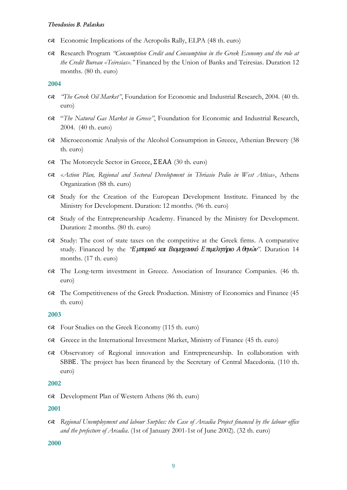- Economic Implications of the Acropolis Rally, ELPA (48 th. euro)
- Research Program *"Consumption Credit and Consumption in the Greek Economy and the role at the Credit Bureau «Teiresias»."* Financed by the Union of Banks and Teiresias. Duration 12 months. (80 th. euro)

#### **2004**

- *"The Greek Oil Market"*, Foundation for Economic and Industrial Research, 2004. (40 th. euro)
- "*The Natural Gas Market in Greece"*, Foundation for Economic and Industrial Research, 2004. (40 th. euro)
- Microeconomic Analysis of the Alcohol Consumption in Greece, Athenian Brewery (38 th. euro)
- The Motorcycle Sector in Greece, ΣΕΑΑ (30 th. euro)
- *«Action Plan, Regional and Sectoral Development in Thriasio Pedio in West Attica»*, Athens Organization (88 th. euro)
- Study for the Creation of the European Development Institute. Financed by the Ministry for Development. Duration: 12 months. (96 th. euro)
- Study of the Entrepreneurship Academy. Financed by the Ministry for Development. Duration: 2 months. (80 th. euro)
- Study: The cost of state taxes on the competitive at the Greek firms. A comparative study. Financed by the *"Ε μπορικό και Βιομηχανικό Ε πιμελητήριο Α θηνών"*. Duration 14 months. (17 th. euro)
- The Long-term investment in Greece. Association of Insurance Companies. (46 th. euro)
- The Competitiveness of the Greek Production. Ministry of Economics and Finance (45 th. euro)

## **2003**

- Four Studies on the Greek Economy (115 th. euro)
- Greece in the International Investment Market, Ministry of Finance (45 th. euro)
- Observatory of Regional innovation and Entrepreneurship. In collaboration with SBBE. The project has been financed by the Secretary of Central Macedonia. (110 th. euro)

#### **2002**

Development Plan of Western Athens (86 th. euro)

#### **2001**

 *Regional Unemployment and labour Surplus: the Case of Arcadia Project financed by the labour office and the prefecture of Arcadia*. (1st of January 2001-1st of June 2002). (32 th. euro)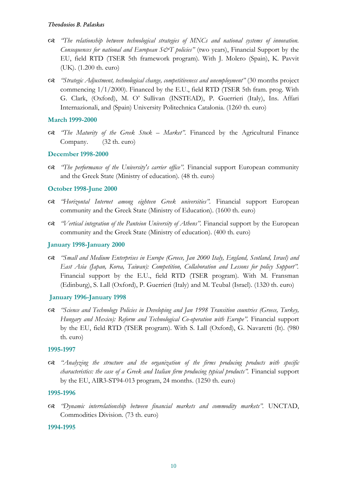- *"The relationship between technological strategies of MNCs and national systems of innovation. Consequences for national and European S&T policies"* (two years), Financial Support by the EU, field RTD (TSER 5th framework program). With J. Molero (Spain), K. Pavvit (UK). (1.200 th. euro)
- *"Strategic Adjustment, technological change, competitiveness and unemployment"* (30 months project commencing 1/1/2000). Financed by the E.U., field RTD (TSER 5th fram. prog. With G. Clark, (Oxford), M. O' Sullivan (INSTEAD), P. Guerrieri (Italy), Ins. Affari Internazionali, and (Spain) University Politechnica Catalonia. (1260 th. euro)

## **March 1999-2000**

 *"The Maturity of the Greek Stock – Market"*. Financed by the Agricultural Finance Company. (32 th. euro)

# **December 1998-2000**

 *"The performance of the University's carrier office".* Financial support European community and the Greek State (Ministry of education). (48 th. euro)

## **October 1998-June 2000**

- *"Horizontal Internet among eighteen Greek universities".* Financial support European community and the Greek State (Ministry of Education). (1600 th. euro)
- $\alpha$  *"Vertical integration of the Panteion University of Athens"*. Financial support by the European community and the Greek State (Ministry of education). (400 th. euro)

## **January 1998-January 2000**

 *"Small and Medium Enterprises in Europe (Greece, Jan 2000 Italy, England, Scotland, Israel) and East Asia (Japan, Korea, Taiwan): Competition, Collaboration and Lessons for policy Support".* Financial support by the E.U., field RTD (TSER program). With M. Fransman (Edinburg), S. Lall (Oxford), P. Guerrieri (Italy) and M. Teubal (Israel). (1320 th. euro)

## **January 1996-January 1998**

 *"Science and Technology Policies in Developing and Jan 1998 Transition countries (Greece, Turkey, Hungary and Mexico): Reform and Technological Co-operation with Europe".* Financial support by the EU, field RTD (TSER program). With S. Lall (Oxford), G. Navaretti (It). (980 th. euro)

## **1995-1997**

 *"Analyzing the structure and the organization of the firms producing products with specific characteristics: the case of a Greek and Italian firm producing typical products"*. Financial support by the EU, AIR3-ST94-013 program, 24 months. (1250 th. euro)

## **1995-1996**

 *"Dynamic interrelationship between financial markets and commodity markets".* UNCTAD, Commodities Division. (73 th. euro)

## **1994-1995**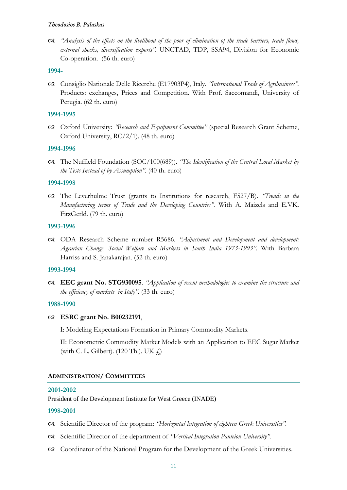*"Analysis of the effects on the livelihood of the poor of elimination of the trade barriers, trade flows, external shocks, diversification exports".* UNCTAD, TDP, SSA94, Division for Economic Co-operation. (56 th. euro)

## **1994-**

 Consiglio Nationale Delle Ricerche (E17903P4), Italy. *"International Trade of Agribusiness".*  Products: exchanges, Prices and Competition. With Prof. Saccomandi, University of Perugia. (62 th. euro)

## **1994-1995**

 Oxford University: *"Research and Equipment Committee"* (special Research Grant Scheme, Oxford University, RC/2/1). (48 th. euro)

## **1994-1996**

 The Nuffield Foundation (SOC/100(689)). *"The Identification of the Central Local Market by the Tests Instead of by Assumption".* (40 th. euro)

## **1994-1998**

 The Leverhulme Trust (grants to Institutions for research, F527/B). *"Trends in the Manufacturing terms of Trade and the Developing Countries".* With A. Maizels and E.VK. FitzGerld. (79 th. euro)

## **1993-1996**

 ODA Research Scheme number R5686. *"Adjustment and Development and development: Agrarian Change, Social Welfare and Markets in South India 1973-1993".* With Barbara Harriss and S. Janakarajan. (52 th. euro)

## **1993-1994**

 **EEC grant No. STG930095**. *"Application of recent methodologies to examine the structure and the efficiency of markets in Italy".* (33 th. euro)

## **1988-1990**

## **ESRC grant No. B00232191**,

I: Modeling Expectations Formation in Primary Commodity Markets.

II: Econometric Commodity Market Models with an Application to EEC Sugar Market (with C. L. Gilbert). (120 Th.). UK  $\downarrow$ )

## **ADMINISTRATION/ COMMITTEES**

## **2001-2002**

President of the Development Institute for West Greece (INADE)

## **1998-2001**

- Scientific Director of the program: *"Horizontal Integration of eighteen Greek Universities".*
- Scientific Director of the department of *"Vertical Integration Panteion University".*
- Coordinator of the National Program for the Development of the Greek Universities.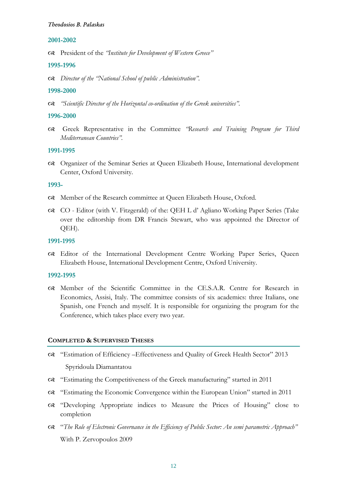## **2001-2002**

President of the *"Institute for Development of Western Greece"*

#### **1995-1996**

*Director of the "National School of public Administration".*

#### **1998-2000**

*"Scientific Director of the Horizontal co-ordination of the Greek universities".*

#### **1996-2000**

 Greek Representative in the Committee *"Research and Training Program for Third Mediterranean Countries".*

#### **1991-1995**

 Organizer of the Seminar Series at Queen Elizabeth House, International development Center, Oxford University.

#### **1993-**

- Member of the Research committee at Queen Elizabeth House, Oxford.
- CO Editor (with V. Fitzgerald) of the: QEH L d' Agliano Working Paper Series (Take over the editorship from DR Francis Stewart, who was appointed the Director of QEH).

## **1991-1995**

 Editor of the International Development Centre Working Paper Series, Queen Elizabeth House, International Development Centre, Oxford University.

# **1992-1995**

 Member of the Scientific Committee in the CE.S.A.R. Centre for Research in Economics, Assisi, Italy. The committee consists of six academics: three Italians, one Spanish, one French and myself. It is responsible for organizing the program for the Conference, which takes place every two year.

#### **COMPLETED & SUPERVISED THESES**

- "Estimation of Efficiency –Effectiveness and Quality of Greek Health Sector" 2013 Spyridoula Diamantatou
- "Estimating the Competitiveness of the Greek manufacturing" started in 2011
- "Estimating the Economic Convergence within the European Union" started in 2011
- "Developing Appropriate indices to Measure the Prices of Housing" close to completion
- "*The Role of Electronic Governance in the Efficiency of Public Sector: An semi parametric Approach"* With P. Zervopoulos 2009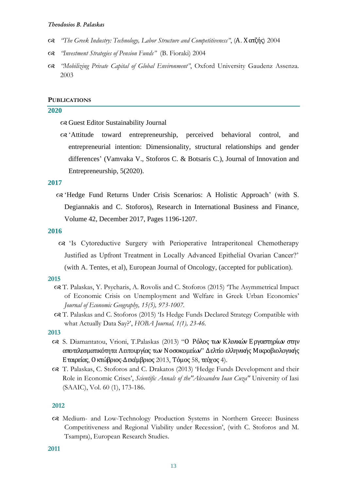- *"The Greek Industry: Technology, Labor Structure and Competitiveness"*, (Α. Χ ατζής) 2004
- *"Investment Strategies of Pension Funds"* (B. Fioraki) 2004
- *"Mobilizing Private Capital of Global Environment"*, Oxford University Gaudenz Assenza. 2003

#### **PUBLICATIONS**

### **2020**

Guest Editor Sustainability Journal

 'Attitude toward entrepreneurship, perceived behavioral control, and entrepreneurial intention: Dimensionality, structural relationships and gender differences' (Vamvaka V., Stoforos C. & Botsaris C.), Journal of Innovation and Entrepreneurship, 5(2020).

#### **2017**

 'Hedge Fund Returns Under Crisis Scenarios: A Holistic Approach' (with S. Degiannakis and C. Stoforos), Research in International Business and Finance, Volume 42, December 2017, Pages 1196-1207.

#### **2016**

 'Is Cytoreductive Surgery with Perioperative Intraperitoneal Chemotherapy Justified as Upfront Treatment in Locally Advanced Epithelial Ovarian Cancer?' (with A. Tentes, et al), European Journal of Oncology, (accepted for publication).

#### **2015**

- T. Palaskas, Y. Psycharis, A. Rovolis and C. Stoforos (2015) 'The Asymmetrical Impact of Economic Crisis on Unemployment and Welfare in Greek Urban Economies' *Journal of Economic Geography, 15(5), 973-1007.*
- T. Palaskas and C. Stoforos (2015) 'Is Hedge Funds Declared Strategy Compatible with what Actually Data Say?', *HOBA Journal, 1(1), 23-46.*

#### **2013**

- S. Diamantatou, Vrioni, T.Palaskas (2013) "Ο Ρόλος των Κλινικών Εργαστηρίων στην αποτελεσματικότητα Λειτουργίας των Νοσοκομείων" Δελτίο ελληνικής Μικροβιολογικής Εταιρείας, Ο κτώβριος-Δεκέμβριος 2013, Τόμος 58, τεύχος 4).
- T. Palaskas, C. Stoforos and C. Drakatos (2013) 'Hedge Funds Development and their Role in Economic Crises', *Scientific Annals of the"Alexandru Ioan Cuza"* University of Iasi (SAAIC), Vol. 60 (1), 173-186.

### **2012**

 Medium- and Low-Technology Production Systems in Northern Greece: Business Competitiveness and Regional Viability under Recession', (with C. Stoforos and M. Tsampra), European Research Studies.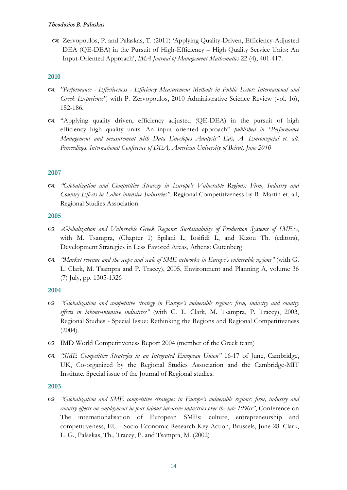Zervopoulos, P. and Palaskas, T. (2011) 'Applying Quality-Driven, Efficiency-Adjusted DEA (QE-DEA) in the Pursuit of High-Efficiency – High Quality Service Units: An Input-Oriented Approach', *IMA Journal of Management Mathematics* 22 (4), 401-417.

# **2010**

- *"Performance - Effectiveness - Efficiency Measurement Methods in Public Sector: International and Greek Experience",* with P. Zervopoulos, 2010 Administrative Science Review (vol. 16), 152-186.
- "Applying quality driven, efficiency adjusted (QE-DEA) in the pursuit of high efficiency high quality units: An input oriented approach" *published in "Performance Management and measurement with Data Envelopes Analysis" Eds, A. Emrouznejal et. all. Proceedings. International Conference of DEA, American University of Beirut, June 2010*

# **2007**

 *"Globalization and Competitive Strategy in Europe's Vulnerable Regions: Firm, Industry and Country Effects in Labor intensive Industries"*. Regional Competitiveness by R. Martin et. all, Regional Studies Association.

# **2005**

- *«Globalization and Vulnerable Greek Regions: Sustainability of Production Systems of SMEs»*, with M. Tsampra, (Chapter 1) Spilani I., Iosifidi I., and Kizou Th. (editors), Development Strategies in Less Favored Areas, Athens: Gutenberg
- *"Market revenue and the scope and scale of SME networks in Europe's vulnerable regions"* (with G. L. Clark, M. Tsampra and P. Tracey), 2005, Environment and Planning A, volume 36 (7) July, pp. 1305-1326

# **2004**

- *"Globalization and competitive strategy in Europe's vulnerable regions: firm, industry and country effects in labour-intensive industries"* (with G. L. Clark, M. Tsampra, P. Tracey), 2003, Regional Studies - Special Issue: Rethinking the Regions and Regional Competitiveness (2004).
- IMD World Competitiveness Report 2004 (member of the Greek team)
- *"SME Competitive Strategies in an Integrated European Union"* 16-17 of June, Cambridge, UK, Co-organized by the Regional Studies Association and the Cambridge-MIT Institute. Special issue of the Journal of Regional studies.

# **2003**

 *"Globalization and SME competitive strategies in Europe's vulnerable regions: firm, industry and country effects on employment in four labour-intensive industries over the late 1990s"*, Conference on The internationalisation of European SMEs: culture, entrepreneurship and competitiveness, EU - Socio-Economic Research Key Action, Brussels, June 28. Clark, L. G., Palaskas, Th., Tracey, P. and Tsampra, M. (2002)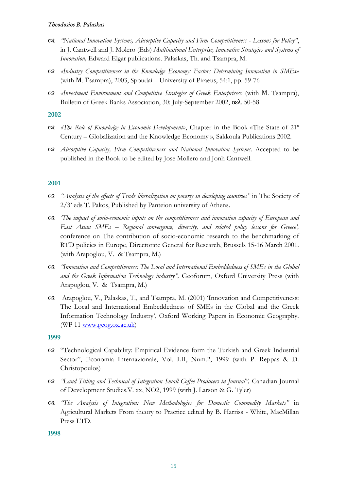- *"National Innovation Systems, Absorptive Capacity and Firm Competitiveness - Lessons for Policy"*, in J. Cantwell and J. Molero (Eds) *Multinational Enterprise, Innovative Strategies and Systems of Innovation,* Edward Elgar publications. Palaskas, Th. and Tsampra, M.
- *«Industry Competitiveness in the Knowledge Economy: Factors Determining Innovation in SMEs»*  (with Μ. Τsampra), 2003, Spoudai – University of Piraeus, 54:1, pp. 59-76
- *«Investment Environment and Competitive Strategies of Greek Enterprises»* (with Μ. Tsampra), Bulletin of Greek Banks Association, 30: July-September 2002, σελ. 50-58.

## **2002**

- *«The Role of Knowledge in Economic Development»*, Chapter in the Book «The State of 21<sup>ο</sup> Century – Globalization and the Knowledge Economy », Sakkoula Publications 2002.
- *Absorptive Capacity, Firm Competitiveness and National Innovation Systems*. Accepted to be published in the Book to be edited by Jose Mollero and Jonh Cantwell.

## **2001**

- *"Analysis of the effects of Trade liberalization on poverty in developing countries"* in The Society of 2/3' eds T. Pakos, Published by Panteion university of Athens.
- *'The impact of socio-economic inputs on the competitiveness and innovation capacity of European and East Asian SMEs – Regional convergence, diversity, and related policy lessons for Greece',*  conference on The contribution of socio-economic research to the benchmarking of RTD policies in Europe, Directorate General for Research, Brussels 15-16 March 2001*.*  (with Arapoglou, V. & Tsampra, M.)
- *"Innovation and Competitiveness: The Local and International Embeddedness of SMEs in the Global and the Greek Information Technology industry",* Geoforum, Oxford University Press (with Arapoglou, V. & Tsampra, M.)
- Arapoglou, V., Palaskas, T., and Tsampra, M. (2001) 'Innovation and Competitiveness: The Local and International Embeddedness of SMEs in the Global and the Greek Information Technology Industry', Oxford Working Papers in Economic Geography. (WP 11 [www.geog.ox.ac.uk\)](http://www.geog.ox.ac.uk/)

## **1999**

- "Technological Capability: Empirical Evidence form the Turkish and Greek Industrial Sector", Economia Internazionale, Vol. LII, Num.2, 1999 (with P. Reppas & D. Christopoulos)
- *"Land Titling and Technical of Integration Small Coffee Producers in Journal",* Canadian Journal of Development Studies.V. xx, NO2, 1999 (with J. Larson & G. Tyler)
- *"The Analysis of Integration: New Methodologies for Domestic Commodity Markets"* in Agricultural Markets From theory to Practice edited by B. Harriss - White, MacMillan Press LTD.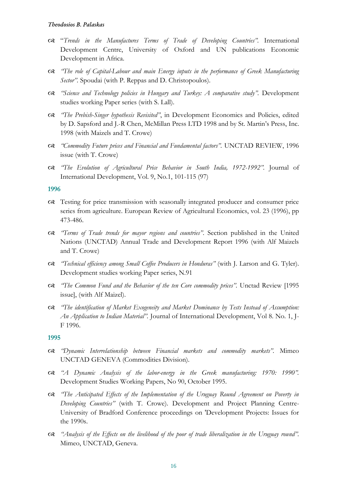- "*Trends in the Manufactures Terms of Trade of Developing Countries".* International Development Centre, University of Oxford and UN publications Economic Development in Africa.
- *"The role of Capital-Labour and main Energy inputs in the performance of Greek Manufacturing Sector".* Spoudai (with P. Reppas and D. Christopoulos).
- *"Science and Technology policies in Hungary and Turkey: A comparative study".* Development studies working Paper series (with S. Lall).
- *"The Prebish-Singer hypothesis Revisited"*, in Development Economics and Policies, edited by D. Sapsford and J.-R Chen, McMillan Press LTD 1998 and by St. Martin's Press, Inc. 1998 (with Maizels and T. Crowe)
- *"Commodity Future prices and Financial and Fundamental factors".* UNCTAD REVIEW, 1996 issue (with T. Crowe)
- *"The Evolution of Agricultural Price Behavior in South India, 1972-1992".* Journal of International Development, Vol. 9, No.1, 101-115 (97)

#### **1996**

- Testing for price transmission with seasonally integrated producer and consumer price series from agriculture. European Review of Agricultural Economics, vol. 23 (1996), pp 473-486.
- *"Terms of Trade trends for mayor regions and countries"*. Section published in the United Nations (UNCTAD) Annual Trade and Development Report 1996 (with Alf Maizels and T. Crowe)
- *"Technical efficiency among Small Coffee Producers in Honduras"* (with J. Larson and G. Tyler). Development studies working Paper series, N.91
- *"The Common Fund and the Behavior of the ten Core commodity prices".* Unctad Review [1995 issue], (with Alf Maizel).
- *"The identification of Market Exogeneity and Market Dominance by Tests Instead of Assumption: An Application to Indian Material".* Journal of International Development, Vol 8. No. 1, J-F 1996.

- *"Dynamic Interrelationship between Financial markets and commodity markets".* Mimeo UNCTAD GENEVA (Commodities Division).
- *"A Dynamic Analysis of the labor-energy in the Greek manufacturing: 1970: 1990".*  Development Studies Working Papers, No 90, October 1995.
- *"The Anticipated Effects of the Implementation of the Uruguay Round Agreement on Poverty in Developing Countries"* (with T. Crowe). Development and Project Planning Centre-University of Bradford Conference proceedings on 'Development Projects: Issues for the 1990s.
- *"Analysis of the Effects on the livelihood of the poor of trade liberalization in the Uruguay round".* Mimeo, UNCTAD, Geneva.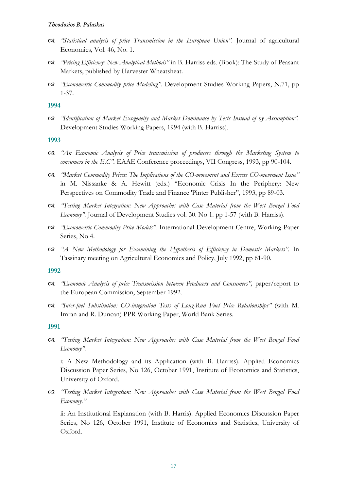- *"Statistical analysis of price Transmission in the European Union".* Journal of agricultural Economics, Vol. 46, No. 1.
- *"Pricing Efficiency: New Analytical Methods"* in B. Harriss eds. (Book): The Study of Peasant Markets, published by Harvester Wheatsheat.
- *"Econometric Commodity price Modeling".* Development Studies Working Papers, N.71, pp 1-37.

## **1994**

 *"Identification of Market Exogeneity and Market Dominance by Tests Instead of by Assumption".*  Development Studies Working Papers, 1994 (with B. Harriss).

## **1993**

- *"An Economic Analysis of Price transmission of producers through the Marketing System to consumers in the E.C".* EAAE Conference proceedings, VII Congress, 1993, pp 90-104.
- *"Market Commodity Prices: The Implications of the CO-movement and Excess CO-movement Issue"*  in M. Nissanke & A. Hewitt (eds.) "Economic Crisis In the Periphery: New Perspectives on Commodity Trade and Finance 'Pinter Publisher", 1993, pp 89-03.
- *"Testing Market Integration: New Approaches with Case Material from the West Bengal Food Economy".* Journal of Development Studies vol. 30. No 1. pp 1-57 (with B. Harriss).
- *"Econometric Commodity Price Models".* International Development Centre, Working Paper Series, No 4.
- *"A New Methodology for Examining the Hypothesis of Efficiency in Domestic Markets".* In Tassinary meeting on Agricultural Economics and Policy, July 1992, pp 61-90.

## **1992**

- *"Economic Analysis of price Transmission between Producers and Consumers",* paper/report to the European Commission, September 1992.
- *"Inter-fuel Substitution: CO-integration Tests of Long-Run Fuel Price Relationships"* (with M. Imran and R. Duncan) PPR Working Paper, World Bank Series.

# **1991**

 *"Testing Market Integration: New Approaches with Case Material from the West Bengal Food Economy".*

i: A New Methodology and its Application (with B. Harriss). Applied Economics Discussion Paper Series, No 126, October 1991, Institute of Economics and Statistics, University of Oxford.

 *"Testing Market Integration: New Approaches with Case Material from the West Bengal Food Economy."*

ii: An Institutional Explanation (with B. Harris). Applied Economics Discussion Paper Series, No 126, October 1991, Institute of Economics and Statistics, University of Oxford.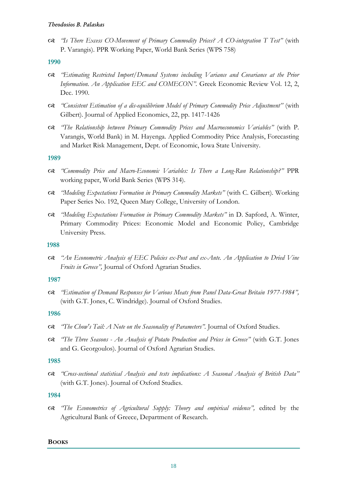*"Is There Excess CO-Movement of Primary Commodity Prices? A CO-integration T Test"* (with P. Varangis). PPR Working Paper, World Bank Series (WPS 758)

## **1990**

- *"Estimating Restricted Import/Demand Systems including Variance and Covariance at the Prior Information. An Application EEC and COMECON".* Greek Economic Review Vol. 12, 2, Dec. 1990.
- *"Consistent Estimation of a dis-equilibrium Model of Primary Commodity Price Adjustment"* (with Gilbert). Journal of Applied Economics, 22, pp. 1417-1426
- *"The Relationship between Primary Commodity Prices and Macroeconomics Variables"* (with P. Varangis, World Bank) in M. Hayenga. Applied Commodity Price Analysis, Forecasting and Market Risk Management, Dept. of Economic, Iowa State University.

## **1989**

- *"Commodity Price and Macro-Economic Variables: Is There a Long-Run Relationship?"* PPR working paper, World Bank Series (WPS 314).
- *"Modeling Expectations Formation in Primary Commodity Markets"* (with C. Gilbert). Working Paper Series No. 192, Queen Mary College, University of London.
- *"Modeling Expectations Formation in Primary Commodity Markets"* in D. Sapford, A. Winter, Primary Commodity Prices: Economic Model and Economic Policy, Cambridge University Press.

## **1988**

 *"An Econometric Analysis of EEC Policies ex-Post and ex-Ante. An Application to Dried Vine Fruits in Greece",* Journal of Oxford Agrarian Studies.

# **1987**

 *"Estimation of Demand Responses for Various Meats from Panel Data-Great Britain 1977-1984",*  (with G.T. Jones, C. Windridge). Journal of Oxford Studies.

## **1986**

- *"The Chow's Tail: A Note on the Seasonality of Parameters".* Journal of Oxford Studies.
- *"The Three Seasons - An Analysis of Potato Production and Prices in Greece"* (with G.T. Jones and G. Georgoulos). Journal of Oxford Agrarian Studies.

## **1985**

 *"Cross-sectional statistical Analysis and tests implications: A Seasonal Analysis of British Data"*  (with G.T. Jones). Journal of Oxford Studies.

# **1984**

 *"The Econometrics of Agricultural Supply: Theory and empirical evidence",* edited by the Agricultural Bank of Greece, Department of Research.

## **BOOKS**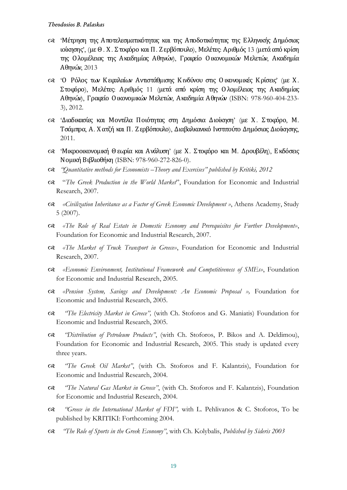- 'Μέτρηση της Αποτελεσματικότητας και της Αποδοτικότητας της Ελληνικής Δημόσιας ιοίκησης', (με Θ. Χ. Στοφόρο και Π. Ζ ερβόπουλο), Μελέτες: Αριθμός 13 (μετά από κρίση της Ο λομέλειας της Ακαδημίας Αθηνών), Γραφείο Οικονομικών Μελετών, Ακαδημία Αθηνών, 2013
- 'Ο Ρόλος των Κεφαλαίων Αντιστάθμισης Κινδύνου στις Οικονομικές Κ ρίσεις' (με Χ. Στοφόρο), Μελέτες: Αριθμός 11 (μετά από κρίση της Ο λομέλειας της Ακαδημίας Αθηνών), Γραφείο Οικονομικών Μελετών, Ακαδημία Αθηνών (ISBN: 978-960-404-233- 3), 2012.
- 'Διαδικασίες και Μοντέλα Ποιότητας στη Δημόσια Διοίκηση' (με Χ. Στοφόρο, Μ. Τσάμπρα, Α. Χ ατζή και Π. Ζ ερβόπουλο), Διαβαλκανικό Ινστιτούτο Δημόσιας Διοίκησης, 2011.
- 'Μικροοικονομική Θ εωρία και Ανάλυση' (με Χ. Στοφόρο και Μ. Δρουβέλη), Εκδόσεις Νομική Βιβλιοθήκη (ISBN: 978-960-272-826-0).
- *"Quantitative methods for Economists –Theory and Exercises" published by Kritiki, 2012*
- "*The Greek Production in the World Market*", Foundation for Economic and Industrial Research, 2007.
- *«Civilization Inheritance as a Factor of Greek Economic Development »*, Athens Academy, Study 5 (2007).
- *«The Role of Real Estate in Domestic Economy and Prerequisites for Further Development»*, Foundation for Economic and Industrial Research, 2007.
- *«The Market of Truck Transport in Greece»*, Foundation for Economic and Industrial Research, 2007.
- *«Economic Environment, Institutional Framework and Competitiveness of SMEs»*, Foundation for Economic and Industrial Research, 2005.
- *«Pension System, Savings and Development: An Economic Proposal »,* Foundation for Economic and Industrial Research, 2005.
- *"The Electricity Market in Greece",* (with Ch. Stoforos and G. Maniatis) Foundation for Economic and Industrial Research, 2005.
- *"Distribution of Petroleum Products"*, (with Ch. Stoforos, P. Bikos and A. Deldimou), Foundation for Economic and Industrial Research, 2005. This study is updated every three years.
- *"The Greek Oil Market"*, (with Ch. Stoforos and F. Kalantzis), Foundation for Economic and Industrial Research, 2004.
- *"The Natural Gas Market in Greece"*, (with Ch. Stoforos and F. Kalantzis), Foundation for Economic and Industrial Research, 2004.
- *"Greece in the International Market of FDI",* with L. Pehlivanos & C. Stoforos, To be published by KRITIKI: Forthcoming 2004.
- *"The Role of Sports in the Greek Economy"*, with Ch. Kolybalis, *Published by Sideris 2003*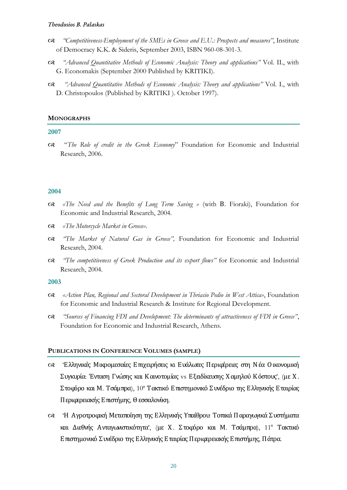- *"Competitiveness-Employment of the SMEs in Greece and E.U.: Prospects and measures"*, Institute of Democracy K.K. & Sideris, September 2003, ISBN 960-08-301-3.
- *"Advanced Quantitative Methods of Economic Analysis: Theory and applications"* Vol. II., with G. Economakis (September 2000 Published by KRITIKI).
- *"Advanced Quantitative Methods of Economic Analysis: Theory and applications"* Vol. I., with D. Christopoulos (Published by KRITIKI ). October 1997).

## **MONOGRAPHS**

## **2007**

 "*The Role of credit in the Greek Economy*" Foundation for Economic and Industrial Research, 2006.

## **2004**

- *«The Need and the Benefits of Long Term Saving »* (with Β. Fioraki), Foundation for Economic and Industrial Research, 2004.
- *«The Motorcycle Market in Greece»*.
- *"The Market of Natural Gas in Greece",* Foundation for Economic and Industrial Research, 2004.
- *"The competitiveness of Greek Production and its export flows"* for Economic and Industrial Research, 2004.

## **2003**

- *«Action Plan, Regional and Sectoral Development in Thriasio Pedio in West Attica»*, Foundation for Economic and Industrial Research & Institute for Regional Development.
- *"Sources of Financing FDI and Development: The determinants of attractiveness of FDI in Greece"*, Foundation for Economic and Industrial Research, Athens.

## **PUBLICATIONS IN CONFERENCE VOLUMES (SAMPLE)**

- 'Ελληνικές Μικρομεσαίες Επιχειρήσεις κι Ευάλωτες Περιφέρειες στη Νέα Οικονομική Συγκυρία: Ένταση Γνώσης και Καινοτομίας vs Εξειδίκευσης Χ αμηλού Κ όστους', (με Χ. Στοφόρο και Μ. Τσάμπρα), 10<sup>ο</sup> Τακτικό Επιστημονικό Συνέδριο της Ελληνικής Εταιρίας Περιφερειακής Επιστήμης, Θ εσσαλονίκη.
- 'Η Αγροτροφική Μεταποίηση της Ελληνικής Υπαίθρου: Τοπικά Παραγωγικά Συστήματα και Διεθνής Ανταγωνιστικότητα', (με Χ. Στοφόρο και Μ. Τσάμπρα), 11° Τακτικό Επιστημονικό Συνέδριο της Ελληνικής Εταιρίας Περιφερειακής Επιστήμης, Πάτρα.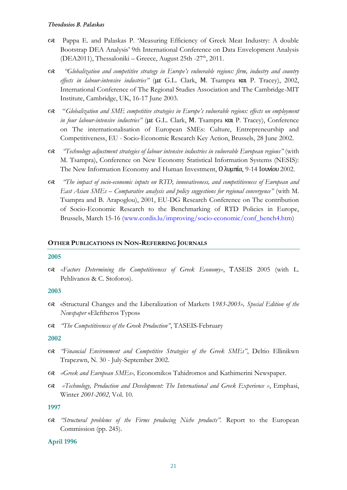- Pappa E. and Palaskas P. 'Measuring Efficiency of Greek Meat Industry: A double Bootstrap DEA Analysis' 9th International Conference on Data Envelopment Analysis (DEA2011), Thessaloniki – Greece, August 25th -27<sup>th</sup>, 2011.
- *"Globalization and competitive strategy in Europe's vulnerable regions: firm, industry and country effects in labour-intensive industries"* (με G.L. Clark, Μ. Tsampra και P. Tracey), 2002, International Conference of The Regional Studies Association and The Cambridge-MIT Institute, Cambridge, UK, 16-17 June 2003.
- "*Globalization and SME competitive strategies in Europe's vulnerable regions: effects on employment in four labour-intensive industries"* (με G.L. Clark, Μ. Tsampra και P. Tracey), Conference on The internationalisation of European SMEs: Culture, Entrepreneurship and Competitiveness, EU - Socio-Economic Research Key Action, Brussels, 28 June 2002.
- *"Technology adjustment strategies of labour intensive industries in vulnerable European regions"* (with M. Tsampra), Conference on New Economy Statistical Information Systems (NESIS): The New Information Economy and Human Investment, Ολυμπία, 9-14 Ιουνίου 2002.
- *"The impact of socio-economic inputs on RTD, innovativeness, and competitiveness of European and East Asian SMEs – Comparative analysis and policy suggestions for regional convergence"* (with M. Tsampra and B. Arapoglou), 2001, EU-DG Research Conference on The contribution of Socio-Economic Research to the Benchmarking of RTD Policies in Europe, Brussels, March 15-16 [\(www.cordis.lu/improving/socio-economic/conf\\_bench4.htm\)](http://www.cordis.lu/improving/socio-economic/conf_bench4.htm)

#### **OTHER PUBLICATIONS IN NON-REFERRING JOURNALS**

#### **2005**

 *«Factors Determining the Competitiveness of Greek Economy»*, ΤASEIS 2005 (with L. Pehlivanos & C. Stoforos).

#### **2003**

- «Structural Changes and the Liberalization of Markets 1*983-2003», Special Edition of the Newspaper* «Eleftheros Typos»
- *"The Competitiveness of the Greek Production"*, TASEIS-February

#### **2002**

- *"Financial Environment and Competitive Strategies of the Greek SMEs"*, Deltio Ellinikwn Trapezwn, N. 30 - July-September 2002.
- *«Greek and European SMEs»,* Economikos Tahidromos and Kathimerini Newspaper.
- *«Technology, Production and Development: The International and Greek Experience »*, Emphasi, Winter *2001-2002,* Vol. 10.

#### **1997**

 *"Structural problems of the Firms producing Niche products".* Report to the European Commission (pp. 245).

#### **April 1996**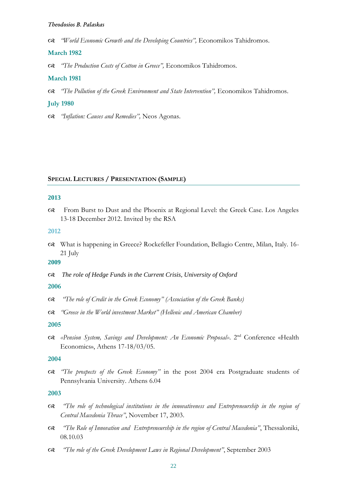*"World Economic Growth and the Developing Countries",* Economikos Tahidromos.

### **March 1982**

*"The Production Costs of Cotton in Greece",* Economikos Tahidromos.

#### **March 1981**

*"The Pollution of the Greek Environment and State Intervention",* Economikos Tahidromos.

#### **July 1980**

*"Inflation: Causes and Remedies",* Neos Agonas.

#### **SPECIAL LECTURES / PRESENTATION (SAMPLE)**

#### **2013**

 From Burst to Dust and the Phoenix at Regional Level: the Greek Case. Los Angeles 13-18 December 2012. Invited by the RSA

#### **2012**

 What is happening in Greece? Rockefeller Foundation, Bellagio Centre, Milan, Italy. 16- 21 July

## **2009**

*The role of Hedge Funds in the Current Crisis, University of Oxford*

### **2006**

- *"The role of Credit in the Greek Economy" (Association of the Greek Banks)*
- *"Greece in the World investment Market" (Hellenic and American Chamber)*

#### **2005**

 *«Pension System, Savings and Development: An Economic Proposal»*. 2nd Conference «Health Economics», Athens 17-18/03/05.

#### **2004**

 *"The prospects of the Greek Economy"* in the post 2004 era Postgraduate students of Pennsylvania University. Athens 6.04

- *"The role of technological institutions in the innovativeness and Entrepreneurship in the region of Central Macedonia Thrace"*, November 17, 2003.
- *"The Role of Innovation and Entrepreneurship in the region of Central Macedonia"*, Thessaloniki, 08.10.03
- *"The role of the Greek Development Laws in Regional Development"*, September 2003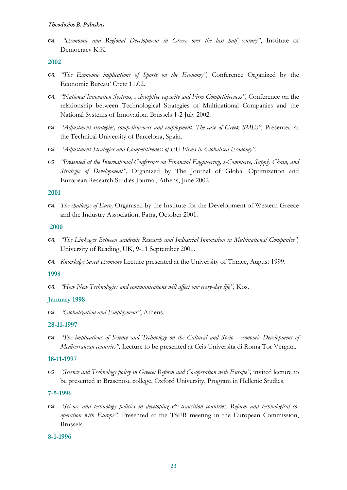*"Economic and Regional Development in Greece over the last half century"*, Institute of Democracy K.K.

### **2002**

- *"The Economic implications of Sports on the Economy",* Conference Organized by the Economic Bureau' Crete 11.02*.*
- *"National Innovation Systems, Absorptive capacity and Firm Competitiveness",* Conference on the relationship between Technological Strategies of Multinational Companies and the National Systems of Innovation. Brussels 1-2 July 2002*.*
- *"Adjustment strategies, competitiveness and employment: The case of Greek SMEs".* Presented at the Technical University of Barcelona, Spain.
- *"Adjustment Strategies and Competitiveness of EU Firms in Globalised Economy".*
- *"Presented at the International Conference on Financial Engineering, e-Commerce, Supply Chain, and Strategic of Development",* Organized by The Journal of Global Optimization and European Research Studies Journal, Athens, June 2002

#### **2001**

 *The challenge of Euro,* Organised by the Institute for the Development of Western Greece and the Industry Association, Patra, October 2001.

#### **2000**

- *"The Linkages Between academic Research and Industrial Innovation in Multinational Companies",* University of Reading, UK, 9-11 September 2001*.*
- *Knowledge based Economy* Lecture presented at the University of Thrace, August 1999.

#### **1998**

*"How New Technologies and communications will affect our every-day life",* Kos.

## **January 1998**

*"Globalization and Employment"*, Athens.

#### **28-11-1997**

 *"The implications of Science and Technology on the Cultural and Socio - economic Development of Mediterranean countries",* Lecture to be presented at Ceis Universita di Roma Tor Vergata.

#### **18-11-1997**

 *"Science and Technology policy in Greece: Reform and Co-operation with Europe",* invited lecture to be presented at Brasenose college, Oxford University, Program in Hellenic Studies.

#### **7-5-1996**

 *"Science and technology policies in developing & transition countries: Reform and technological cooperation with Europe".* Presented at the TSER meeting in the European Commission, Brussels.

#### **8-1-1996**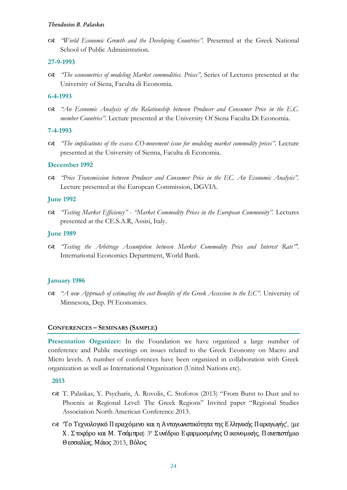*"World Economic Growth and the Developing Countries".* Presented at the Greek National School of Public Administration.

## **27-9-1993**

 *"The econometrics of modeling Market commodities. Prices",* Series of Lectures presented at the University of Siena, Faculta di Economia.

#### **6-4-1993**

 *"An Economic Analysis of the Relationship between Producer and Consumer Price in the E.C. member Countries".* Lecture presented at the University Of Siena Faculta Di Economia.

## **7-4-1993**

 *"The implications of the excess CO-movement issue for modeling market commodity prices".* Lecture presented at the University of Sienna, Faculta di Economia.

## **December 1992**

 *"Price Transmission between Producer and Consumer Price in the EC. An Economic Analysis".*  Lecture presented at the European Commission, DGVIA.

#### **June 1992**

 *"Testing Market Efficiency" - "Market Commodity Prices in the European Community".* Lectures presented at the CE.S.A.R, Assisi, Italy.

#### **June 1989**

 *"Testing the Arbitrage Assumption between Market Commodity Price and Interest Rate"'.*  International Economics Department, World Bank.

#### **January 1986**

 *"A new Approach of estimating the cost-Benefits of the Greek Accession to the EC"*. University of Minnesota, Dep. Pf Economics.

#### **CONFERENCES – SEMINARS (SAMPLE)**

**Presentation Organizer:** In the Foundation we have organized a large number of conference and Public meetings on issues related to the Greek Economy on Macro and Micro levels. A number of conferences have been organized in collaboration with Greek organization as well as International Organization (United Nations etc).

- T. Palaskas, Y. Psycharis, A. Rovolis, C. Stoforos (2013) "From Burst to Dust and to Phoenix at Regional Level: The Greek Regions" Invited paper "Regional Studies Association North American Conference 2013.
- 'Το Τεχνολογικό Περιεχόμενο και η Ανταγωνιστικότητα της Ελληνικής Παραγωγής', (με Χ. Στοφόρο και Μ. Τσάμπρα) 3<sup>ο</sup> Συνέδριο Εφαρμοσμένης Οικονομικής, Πανεπιστήμιο Θ εσσαλίας, Μάιος 2013, Βόλος.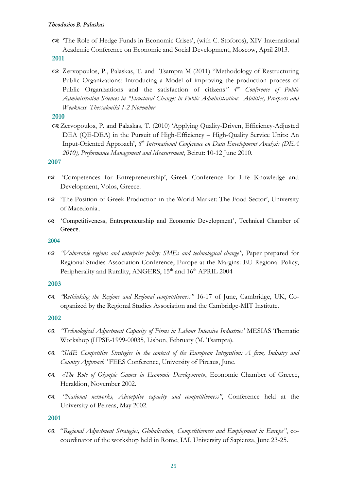'The Role of Hedge Funds in Economic Crises', (with C. Stoforos), XIV International Academic Conference on Economic and Social Development, Moscow, April 2013.

**2011**

 Ζervopoulos, P., Palaskas, T. and Tsampra M (2011) "Methodology of Restructuring Public Organizations: Introducing a Model of improving the production process of Public Organizations and the satisfaction of citizens*" 4th Conference of Public Administration Sciences in "Structural Changes in Public Administration: Abilities, Prospects and Weakness. Thessaloniki 1-2 November*

# **2010**

 Zervopoulos, P. and Palaskas, T. (2010) 'Applying Quality-Driven, Efficiency-Adjusted DEA (QE-DEA) in the Pursuit of High-Efficiency – High-Quality Service Units: An Input-Oriented Approach', *8 th International Conference on Data Envelopment Analysis (DEA 2010), Performance Management and Measurement*, Beirut: 10-12 June 2010.

# **2007**

- 'Competences for Entrepreneurship', Greek Conference for Life Knowledge and Development, Volos, Greece.
- 'The Position of Greek Production in the World Market: The Food Sector', University of Macedonia..
- 'Competitiveness, Entrepreneurship and Economic Development', Technical Chamber of Greece.

## **2004**

 *"Vulnerable regions and enterprise policy: SMEs and technological change",* Paper prepared for Regional Studies Association Conference, Europe at the Margins: EU Regional Policy, Peripherality and Rurality, ANGERS, 15<sup>th</sup> and 16<sup>th</sup> APRIL 2004

# **2003**

 *"Rethinking the Regions and Regional competitiveness"* 16-17 of June, Cambridge, UK, Coorganized by the Regional Studies Association and the Cambridge-MIT Institute.

# **2002**

- *"Technological Adjustment Capacity of Firms in Labour Intensive Industries'* MESIAS Thematic Workshop (HPSE-1999-00035, Lisbon, February (M. Tsampra).
- *"SME Competitive Strategies in the context of the European Integration: A firm, Industry and Country Approach"* FEES Conference, University of Pireaus, June.
- *«The Role of Olympic Games in Economic Development»*, Economic Chamber of Greece, Heraklion, November 2002.
- *"National networks, Absorptive capacity and competitiveness"*, Conference held at the University of Peireas, May 2002.

# **2001**

 "*Regional Adjustment Strategies, Globalisation, Competitiveness and Employment in Europe"*, cocoordinator of the workshop held in Rome, IAI, University of Sapienza, June 23-25.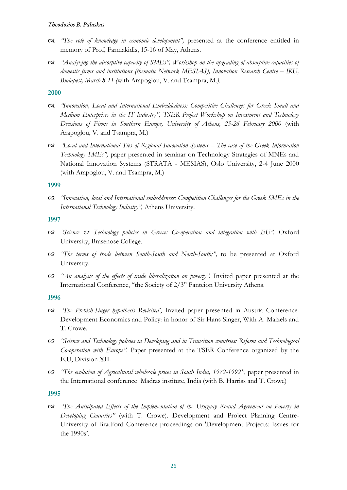- *"The role of knowledge in economic development",* presented at the conference entitled in memory of Prof, Farmakidis, 15-16 of May, Athens.
- *"Analyzing the absorptive capacity of SMEs", Workshop on the upgrading of absorptive capacities of domestic firms and institutions (thematic Network MESIAS), Innovation Research Centre – IKU, Budapest, March 8-11 (*with Arapoglou, V. and Tsampra, M.*).*

## **2000**

- *"Innovation, Local and International Embeddedness: Competitive Challenges for Greek Small and Medium Enterprises in the IT Industry", TSER Project Workshop on Investment and Technology Decisions of Firms in Southern Europe, University of Athens, 25-26 February 2000* (with Arapoglou, V. and Tsampra, M.)
- *"Local and International Ties of Regional Innovation Systems – The case of the Greek Information Technology SMEs",* paper presented in seminar on Technology Strategies of MNEs and National Innovation Systems (STRATA - MESIAS), Oslo University, 2-4 June 2000 (with Arapoglou, V. and Tsampra, M.)

## **1999**

 *"Innovation, local and International embeddeness: Competition Challenges for the Greek SMEs in the International Technology Industry",* Athens University.

## **1997**

- *"Science & Technology policies in Greece: Co-operation and integration with EU",* Oxford University, Brasenose College.
- *"The terms of trade between South-South and North-South;",* to be presented at Oxford University.
- *"An analysis of the effects of trade liberalization on poverty".* Invited paper presented at the International Conference, "the Society of 2/3" Panteion University Athens.

## **1996**

- *"The Prebish-Singer hypothesis Revisited'*, Invited paper presented in Austria Conference: Development Economics and Policy: in honor of Sir Hans Singer, With A. Maizels and T. Crowe.
- *"Science and Technology policies in Developing and in Transition countries: Reform and Technological Co-operation with Europe"*. Paper presented at the TSER Conference organized by the E.U, Division XII.
- *"The evolution of Agricultural wholesale prices in South India, 1972-1992"*, paper presented in the International conference Madras institute, India (with B. Harriss and T. Crowe)

# **1995**

 *"The Anticipated Effects of the Implementation of the Uruguay Round Agreement on Poverty in Developing Countries"* (with T. Crowe). Development and Project Planning Centre-University of Bradford Conference proceedings on 'Development Projects: Issues for the 1990s'.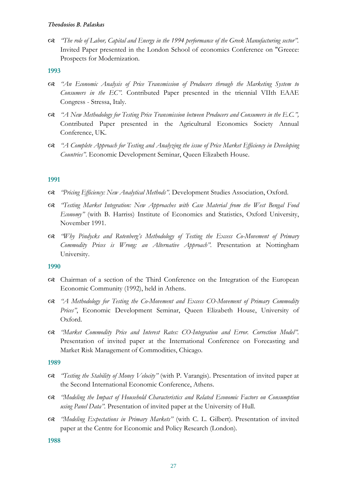*"The role of Labor, Capital and Energy in the 1994 performance of the Greek Manufacturing sector".* Invited Paper presented in the London School of economics Conference on "Greece: Prospects for Modernization.

# **1993**

- *"An Economic Analysis of Price Transmission of Producers through the Marketing System to Consumers in the EC".* Contributed Paper presented in the triennial VIIth EAAE Congress - Stressa, Italy.
- *"A New Methodology for Testing Price Transmission between Producers and Consumers in the E.C.",* Contributed Paper presented in the Agricultural Economics Society Annual Conference, UK.
- *"A Complete Approach for Testing and Analyzing the issue of Price Market Efficiency in Developing Countries"*. Economic Development Seminar, Queen Elizabeth House.

# **1991**

- *"Pricing Efficiency: New Analytical Methods"*. Development Studies Association, Oxford.
- *"Testing Market Integration: New Approaches with Case Material from the West Bengal Food Economy"* (with B. Harriss) Institute of Economics and Statistics, Oxford University, November 1991.
- *"Why Pindycks and Rotenberg's Methodology of Testing the Excess Co-Movement of Primary Commodity Prices is Wrong: an Alternative Approach".* Presentation at Nottingham University.

## **1990**

- Chairman of a section of the Third Conference on the Integration of the European Economic Community (1992), held in Athens.
- *"A Methodology for Testing the Co-Movement and Excess CO-Movement of Primary Commodity*  Prices", Economic Development Seminar, Queen Elizabeth House, University of Oxford.
- *"Market Commodity Price and Interest Rates: CO-Integration and Error. Correction Model".* Presentation of invited paper at the International Conference on Forecasting and Market Risk Management of Commodities, Chicago.

## **1989**

- *"Testing the Stability of Money Velocity"* (with P. Varangis). Presentation of invited paper at the Second International Economic Conference, Athens.
- *"Modeling the Impact of Household Characteristics and Related Economic Factors on Consumption using Panel Data".* Presentation of invited paper at the University of Hull.
- *"Modeling Expectations in Primary Markets"* (with C. L. Gilbert). Presentation of invited paper at the Centre for Economic and Policy Research (London).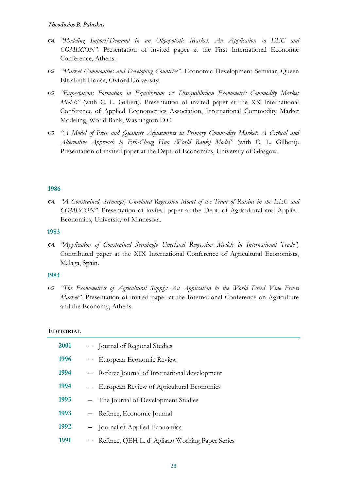- *"Modeling Import/Demand in an Oligopolistic Market. An Application to EEC and COMECON".* Presentation of invited paper at the First International Economic Conference, Athens.
- *"Market Commodities and Developing Countries".* Economic Development Seminar, Queen Elizabeth House, Oxford University.
- *"Expectations Formation in Equilibrium & Disequilibrium Econometric Commodity Market Models"* (with C. L. Gilbert). Presentation of invited paper at the XX International Conference of Applied Econometrics Association, International Commodity Market Modeling, World Bank, Washington D.C.
- *"A Model of Price and Quantity Adjustments in Primary Commodity Market: A Critical and Alternative Approach to Erh-Cheng Hua (World Bank) Model"* (with C. L. Gilbert). Presentation of invited paper at the Dept. of Economics, University of Glasgow.

# **1986**

 *"A Constrained, Seemingly Unrelated Regression Model of the Trade of Raisins in the EEC and COMECON".* Presentation of invited paper at the Dept. of Agricultural and Applied Economics, University of Minnesota.

## **1983**

 *"Application of Constrained Seemingly Unrelated Regression Models in International Trade",*  Contributed paper at the XIX International Conference of Agricultural Economists, Malaga, Spain.

## **1984**

 *"The Econometrics of Agricultural Supply: An Application to the World Dried Vine Fruits Market"*. Presentation of invited paper at the International Conference on Agriculture and the Economy, Athens.

# **EDITORIAL**

| 2001 |                   | - Journal of Regional Studies                   |
|------|-------------------|-------------------------------------------------|
| 1996 |                   | - European Economic Review                      |
| 1994 |                   | - Referee Journal of International development  |
| 1994 |                   | - European Review of Agricultural Economics     |
| 1993 |                   | - The Journal of Development Studies            |
| 1993 |                   | - Referee, Economic Journal                     |
| 1992 |                   | - Journal of Applied Economics                  |
| 1991 | $\qquad \qquad -$ | Referee, QEH L. d' Agliano Working Paper Series |